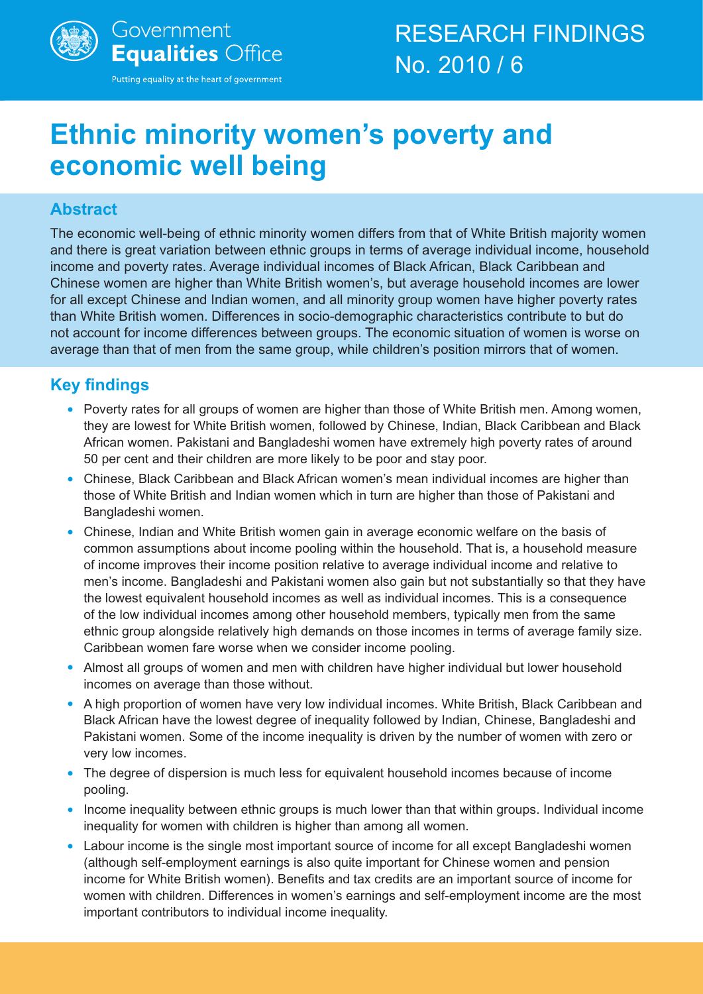

#### Putting equality at the heart of government

# **Ethnic minority women's poverty and economic well being**

# **Abstract**

The economic well-being of ethnic minority women differs from that of White British majority women and there is great variation between ethnic groups in terms of average individual income, household income and poverty rates. Average individual incomes of Black African, Black Caribbean and Chinese women are higher than White British women's, but average household incomes are lower for all except Chinese and Indian women, and all minority group women have higher poverty rates than White British women. Differences in socio-demographic characteristics contribute to but do not account for income differences between groups. The economic situation of women is worse on average than that of men from the same group, while children's position mirrors that of women.

# **Key findings**

- Poverty rates for all groups of women are higher than those of White British men. Among women, they are lowest for White British women, followed by Chinese, Indian, Black Caribbean and Black African women. Pakistani and Bangladeshi women have extremely high poverty rates of around 50 per cent and their children are more likely to be poor and stay poor.
- Chinese, Black Caribbean and Black African women's mean individual incomes are higher than those of White British and Indian women which in turn are higher than those of Pakistani and Bangladeshi women.
- Chinese, Indian and White British women gain in average economic welfare on the basis of common assumptions about income pooling within the household. That is, a household measure of income improves their income position relative to average individual income and relative to men's income. Bangladeshi and Pakistani women also gain but not substantially so that they have the lowest equivalent household incomes as well as individual incomes. This is a consequence of the low individual incomes among other household members, typically men from the same ethnic group alongside relatively high demands on those incomes in terms of average family size. Caribbean women fare worse when we consider income pooling.
- Almost all groups of women and men with children have higher individual but lower household incomes on average than those without.
- A high proportion of women have very low individual incomes. White British, Black Caribbean and Black African have the lowest degree of inequality followed by Indian, Chinese, Bangladeshi and Pakistani women. Some of the income inequality is driven by the number of women with zero or very low incomes.
- The degree of dispersion is much less for equivalent household incomes because of income pooling.
- Income inequality between ethnic groups is much lower than that within groups. Individual income inequality for women with children is higher than among all women.
- Labour income is the single most important source of income for all except Bangladeshi women (although self-employment earnings is also quite important for Chinese women and pension income for White British women). Benefits and tax credits are an important source of income for women with children. Differences in women's earnings and self-employment income are the most important contributors to individual income inequality.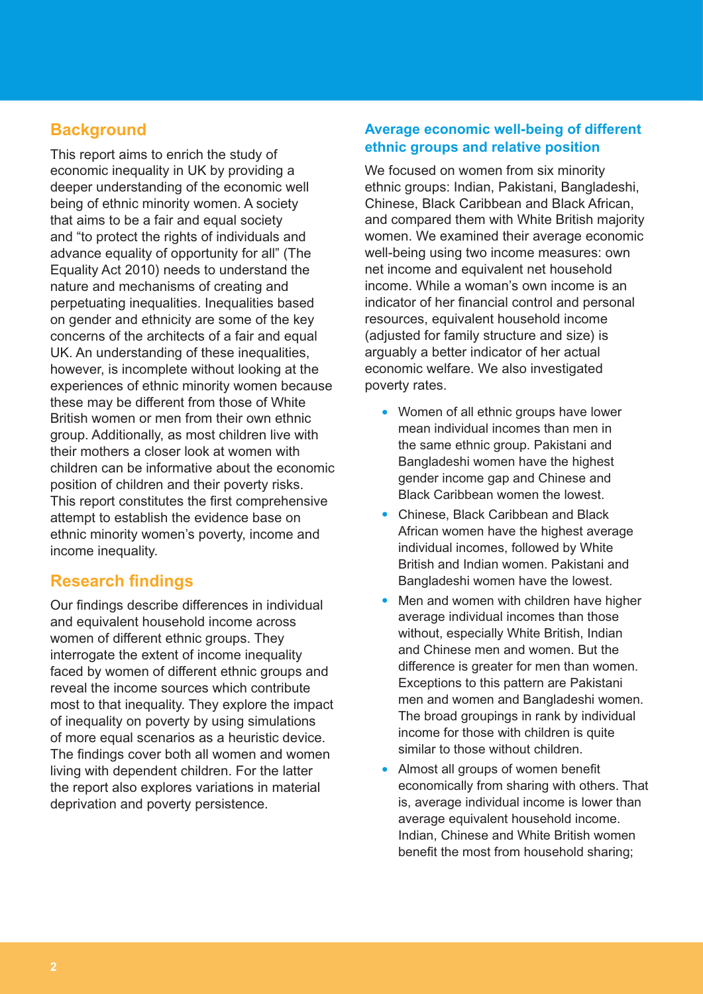# **Background**

This report aims to enrich the study of economic inequality in UK by providing a deeper understanding of the economic well being of ethnic minority women. A society that aims to be a fair and equal society and "to protect the rights of individuals and advance equality of opportunity for all" (The Equality Act 2010) needs to understand the nature and mechanisms of creating and perpetuating inequalities. Inequalities based on gender and ethnicity are some of the key concerns of the architects of a fair and equal UK. An understanding of these inequalities, however, is incomplete without looking at the experiences of ethnic minority women because these may be different from those of White British women or men from their own ethnic group. Additionally, as most children live with their mothers a closer look at women with children can be informative about the economic position of children and their poverty risks. This report constitutes the first comprehensive attempt to establish the evidence base on ethnic minority women's poverty, income and income inequality.

# **Research findings**

Our findings describe differences in individual and equivalent household income across women of different ethnic groups. They interrogate the extent of income inequality faced by women of different ethnic groups and reveal the income sources which contribute most to that inequality. They explore the impact of inequality on poverty by using simulations of more equal scenarios as a heuristic device. The findings cover both all women and women living with dependent children. For the latter the report also explores variations in material deprivation and poverty persistence.

#### **Average economic well-being of different ethnic groups and relative position**

We focused on women from six minority ethnic groups: Indian, Pakistani, Bangladeshi, Chinese, Black Caribbean and Black African, and compared them with White British majority women. We examined their average economic well-being using two income measures: own net income and equivalent net household income. While a woman's own income is an indicator of her financial control and personal resources, equivalent household income (adjusted for family structure and size) is arguably a better indicator of her actual economic welfare. We also investigated poverty rates.

- Women of all ethnic groups have lower mean individual incomes than men in the same ethnic group. Pakistani and Bangladeshi women have the highest gender income gap and Chinese and Black Caribbean women the lowest.
- Chinese, Black Caribbean and Black African women have the highest average individual incomes, followed by White British and Indian women. Pakistani and Bangladeshi women have the lowest.
- Men and women with children have higher average individual incomes than those without, especially White British, Indian and Chinese men and women. But the difference is greater for men than women. Exceptions to this pattern are Pakistani men and women and Bangladeshi women. The broad groupings in rank by individual income for those with children is quite similar to those without children.
- Almost all groups of women benefit economically from sharing with others. That is, average individual income is lower than average equivalent household income. Indian, Chinese and White British women benefit the most from household sharing;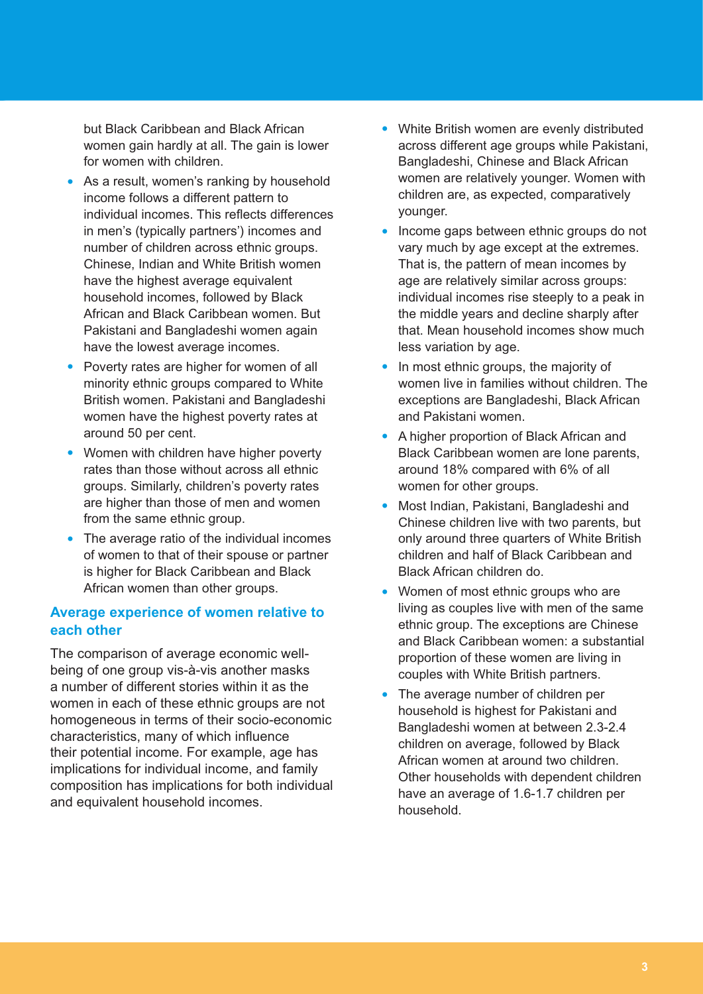but Black Caribbean and Black African women gain hardly at all. The gain is lower for women with children.

- As a result, women's ranking by household income follows a different pattern to individual incomes. This reflects differences in men's (typically partners') incomes and number of children across ethnic groups. Chinese, Indian and White British women have the highest average equivalent household incomes, followed by Black African and Black Caribbean women. But Pakistani and Bangladeshi women again have the lowest average incomes.
- Poverty rates are higher for women of all minority ethnic groups compared to White British women. Pakistani and Bangladeshi women have the highest poverty rates at around 50 per cent.
- Women with children have higher poverty rates than those without across all ethnic groups. Similarly, children's poverty rates are higher than those of men and women from the same ethnic group.
- The average ratio of the individual incomes of women to that of their spouse or partner is higher for Black Caribbean and Black African women than other groups.

#### **Average experience of women relative to each other**

The comparison of average economic wellbeing of one group vis-à-vis another masks a number of different stories within it as the women in each of these ethnic groups are not homogeneous in terms of their socio-economic characteristics, many of which influence their potential income. For example, age has implications for individual income, and family composition has implications for both individual and equivalent household incomes.

- White British women are evenly distributed across different age groups while Pakistani, Bangladeshi, Chinese and Black African women are relatively younger. Women with children are, as expected, comparatively younger.
- Income gaps between ethnic groups do not vary much by age except at the extremes. That is, the pattern of mean incomes by age are relatively similar across groups: individual incomes rise steeply to a peak in the middle years and decline sharply after that. Mean household incomes show much less variation by age.
- In most ethnic groups, the majority of women live in families without children. The exceptions are Bangladeshi, Black African and Pakistani women.
- A higher proportion of Black African and Black Caribbean women are lone parents, around 18% compared with 6% of all women for other groups.
- Most Indian, Pakistani, Bangladeshi and Chinese children live with two parents, but only around three quarters of White British children and half of Black Caribbean and Black African children do.
- Women of most ethnic groups who are living as couples live with men of the same ethnic group. The exceptions are Chinese and Black Caribbean women: a substantial proportion of these women are living in couples with White British partners.
- The average number of children per household is highest for Pakistani and Bangladeshi women at between 2.3-2.4 children on average, followed by Black African women at around two children. Other households with dependent children have an average of 1.6-1.7 children per household.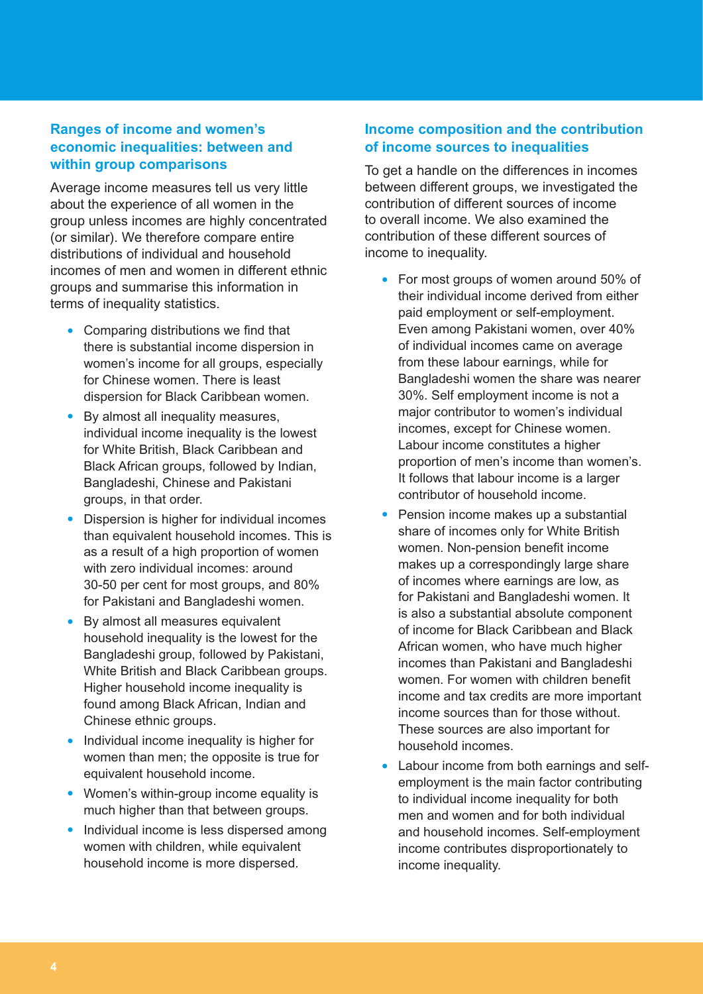#### **Ranges of income and women's economic inequalities: between and within group comparisons**

Average income measures tell us very little about the experience of all women in the group unless incomes are highly concentrated (or similar). We therefore compare entire distributions of individual and household incomes of men and women in different ethnic groups and summarise this information in terms of inequality statistics.

- Comparing distributions we find that there is substantial income dispersion in women's income for all groups, especially for Chinese women. There is least dispersion for Black Caribbean women.
- By almost all inequality measures, individual income inequality is the lowest for White British, Black Caribbean and Black African groups, followed by Indian, Bangladeshi, Chinese and Pakistani groups, in that order.
- Dispersion is higher for individual incomes than equivalent household incomes. This is as a result of a high proportion of women with zero individual incomes: around 30-50 per cent for most groups, and 80% for Pakistani and Bangladeshi women.
- By almost all measures equivalent household inequality is the lowest for the Bangladeshi group, followed by Pakistani, White British and Black Caribbean groups. Higher household income inequality is found among Black African, Indian and Chinese ethnic groups.
- Individual income inequality is higher for women than men; the opposite is true for equivalent household income.
- Women's within-group income equality is much higher than that between groups.
- Individual income is less dispersed among women with children, while equivalent household income is more dispersed.

#### **Income composition and the contribution of income sources to inequalities**

To get a handle on the differences in incomes between different groups, we investigated the contribution of different sources of income to overall income. We also examined the contribution of these different sources of income to inequality.

- For most groups of women around 50% of their individual income derived from either paid employment or self-employment. Even among Pakistani women, over 40% of individual incomes came on average from these labour earnings, while for Bangladeshi women the share was nearer 30%. Self employment income is not a major contributor to women's individual incomes, except for Chinese women. Labour income constitutes a higher proportion of men's income than women's. It follows that labour income is a larger contributor of household income.
- Pension income makes up a substantial share of incomes only for White British women. Non-pension benefit income makes up a correspondingly large share of incomes where earnings are low, as for Pakistani and Bangladeshi women. It is also a substantial absolute component of income for Black Caribbean and Black African women, who have much higher incomes than Pakistani and Bangladeshi women. For women with children benefit income and tax credits are more important income sources than for those without. These sources are also important for household incomes.
- Labour income from both earnings and selfemployment is the main factor contributing to individual income inequality for both men and women and for both individual and household incomes. Self-employment income contributes disproportionately to income inequality.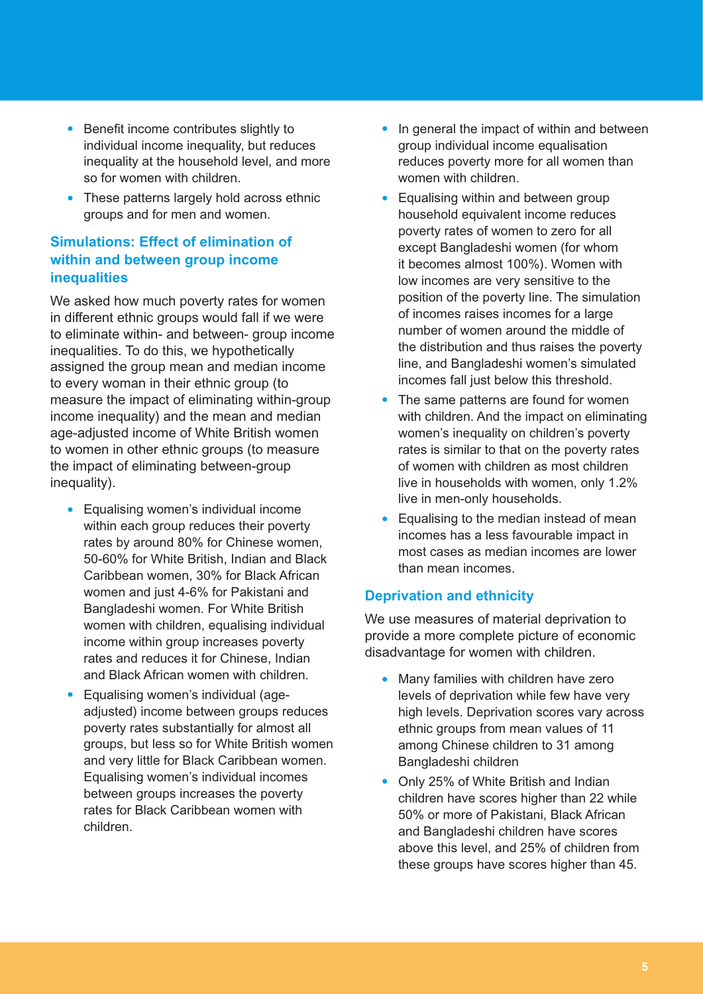- Benefit income contributes slightly to individual income inequality, but reduces inequality at the household level, and more so for women with children.
- These patterns largely hold across ethnic groups and for men and women.

# **Simulations: Effect of elimination of within and between group income inequalities**

We asked how much poverty rates for women in different ethnic groups would fall if we were to eliminate within- and between- group income inequalities. To do this, we hypothetically assigned the group mean and median income to every woman in their ethnic group (to measure the impact of eliminating within-group income inequality) and the mean and median age-adjusted income of White British women to women in other ethnic groups (to measure the impact of eliminating between-group inequality).

- Equalising women's individual income within each group reduces their poverty rates by around 80% for Chinese women, 50-60% for White British, Indian and Black Caribbean women, 30% for Black African women and just 4-6% for Pakistani and Bangladeshi women. For White British women with children, equalising individual income within group increases poverty rates and reduces it for Chinese, Indian and Black African women with children.
- Equalising women's individual (ageadjusted) income between groups reduces poverty rates substantially for almost all groups, but less so for White British women and very little for Black Caribbean women. Equalising women's individual incomes between groups increases the poverty rates for Black Caribbean women with children.
- In general the impact of within and between group individual income equalisation reduces poverty more for all women than women with children.
- Equalising within and between group household equivalent income reduces poverty rates of women to zero for all except Bangladeshi women (for whom it becomes almost 100%). Women with low incomes are very sensitive to the position of the poverty line. The simulation of incomes raises incomes for a large number of women around the middle of the distribution and thus raises the poverty line, and Bangladeshi women's simulated incomes fall just below this threshold.
- The same patterns are found for women with children. And the impact on eliminating women's inequality on children's poverty rates is similar to that on the poverty rates of women with children as most children live in households with women, only 1.2% live in men-only households.
- Equalising to the median instead of mean incomes has a less favourable impact in most cases as median incomes are lower than mean incomes.

# **Deprivation and ethnicity**

We use measures of material deprivation to provide a more complete picture of economic disadvantage for women with children.

- Many families with children have zero levels of deprivation while few have very high levels. Deprivation scores vary across ethnic groups from mean values of 11 among Chinese children to 31 among Bangladeshi children
- Only 25% of White British and Indian children have scores higher than 22 while 50% or more of Pakistani, Black African and Bangladeshi children have scores above this level, and 25% of children from these groups have scores higher than 45.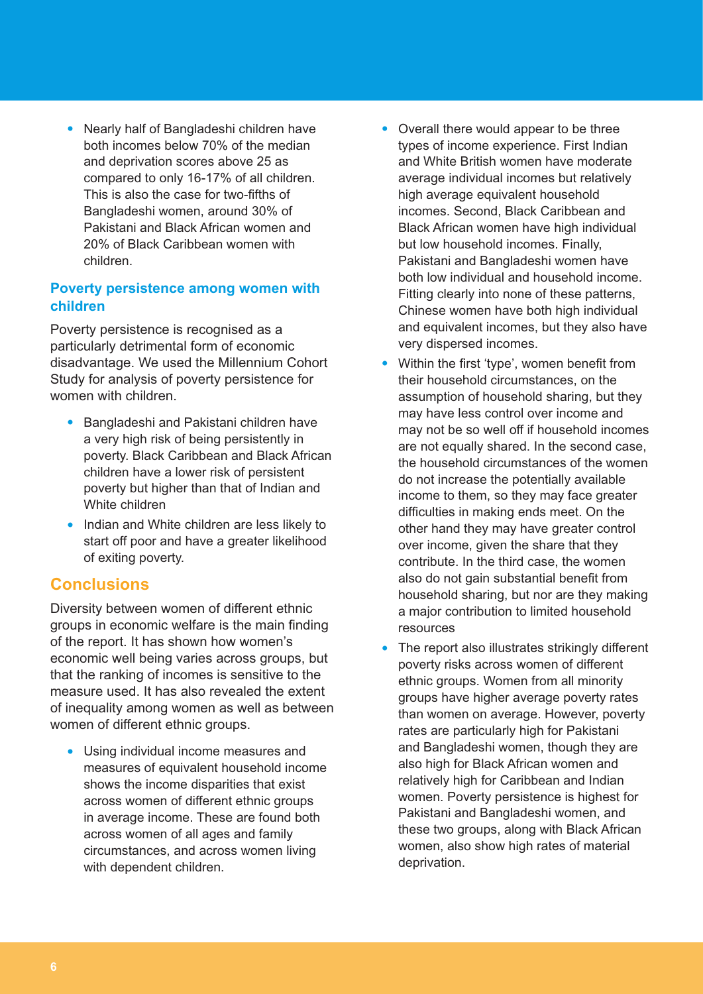• Nearly half of Bangladeshi children have both incomes below 70% of the median and deprivation scores above 25 as compared to only 16-17% of all children. This is also the case for two-fifths of Bangladeshi women, around 30% of Pakistani and Black African women and 20% of Black Caribbean women with children.

#### **Poverty persistence among women with children**

Poverty persistence is recognised as a particularly detrimental form of economic disadvantage. We used the Millennium Cohort Study for analysis of poverty persistence for women with children.

- Bangladeshi and Pakistani children have a very high risk of being persistently in poverty. Black Caribbean and Black African children have a lower risk of persistent poverty but higher than that of Indian and White children
- Indian and White children are less likely to start off poor and have a greater likelihood of exiting poverty.

# **Conclusions**

Diversity between women of different ethnic groups in economic welfare is the main finding of the report. It has shown how women's economic well being varies across groups, but that the ranking of incomes is sensitive to the measure used. It has also revealed the extent of inequality among women as well as between women of different ethnic groups.

• Using individual income measures and measures of equivalent household income shows the income disparities that exist across women of different ethnic groups in average income. These are found both across women of all ages and family circumstances, and across women living with dependent children.

- Overall there would appear to be three types of income experience. First Indian and White British women have moderate average individual incomes but relatively high average equivalent household incomes. Second, Black Caribbean and Black African women have high individual but low household incomes. Finally, Pakistani and Bangladeshi women have both low individual and household income. Fitting clearly into none of these patterns, Chinese women have both high individual and equivalent incomes, but they also have very dispersed incomes.
- Within the first 'type', women benefit from their household circumstances, on the assumption of household sharing, but they may have less control over income and may not be so well off if household incomes are not equally shared. In the second case, the household circumstances of the women do not increase the potentially available income to them, so they may face greater difficulties in making ends meet. On the other hand they may have greater control over income, given the share that they contribute. In the third case, the women also do not gain substantial benefit from household sharing, but nor are they making a major contribution to limited household resources
- The report also illustrates strikingly different poverty risks across women of different ethnic groups. Women from all minority groups have higher average poverty rates than women on average. However, poverty rates are particularly high for Pakistani and Bangladeshi women, though they are also high for Black African women and relatively high for Caribbean and Indian women. Poverty persistence is highest for Pakistani and Bangladeshi women, and these two groups, along with Black African women, also show high rates of material deprivation.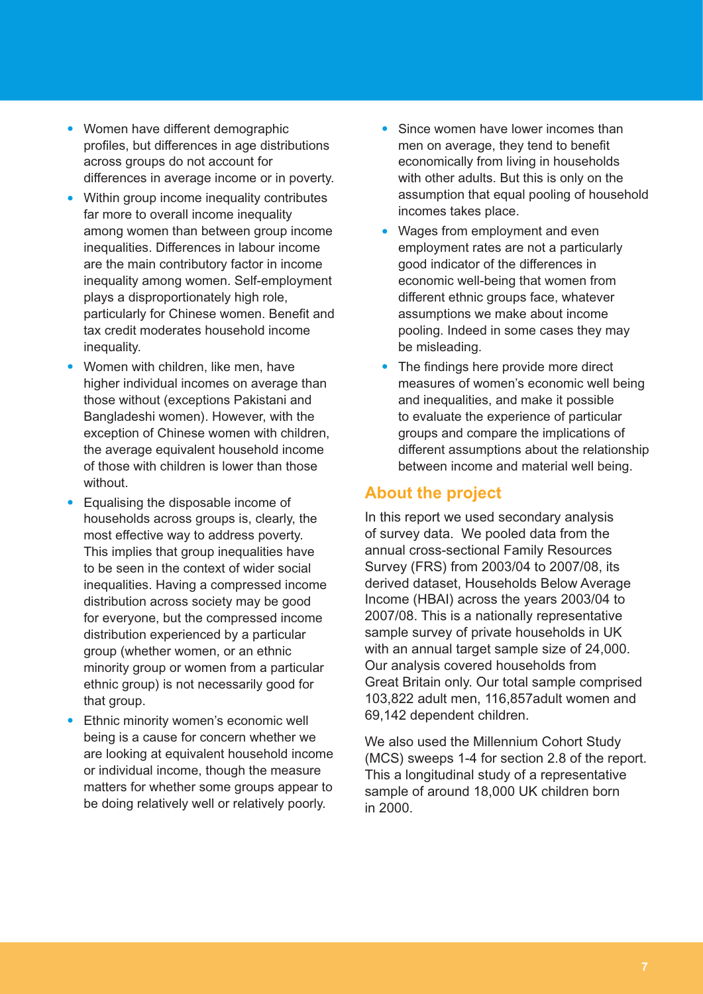- Women have different demographic profiles, but differences in age distributions across groups do not account for differences in average income or in poverty.
- Within group income inequality contributes far more to overall income inequality among women than between group income inequalities. Differences in labour income are the main contributory factor in income inequality among women. Self-employment plays a disproportionately high role, particularly for Chinese women. Benefit and tax credit moderates household income inequality.
- Women with children, like men, have higher individual incomes on average than those without (exceptions Pakistani and Bangladeshi women). However, with the exception of Chinese women with children, the average equivalent household income of those with children is lower than those without.
- Equalising the disposable income of households across groups is, clearly, the most effective way to address poverty. This implies that group inequalities have to be seen in the context of wider social inequalities. Having a compressed income distribution across society may be good for everyone, but the compressed income distribution experienced by a particular group (whether women, or an ethnic minority group or women from a particular ethnic group) is not necessarily good for that group.
- Ethnic minority women's economic well being is a cause for concern whether we are looking at equivalent household income or individual income, though the measure matters for whether some groups appear to be doing relatively well or relatively poorly.
- Since women have lower incomes than men on average, they tend to benefit economically from living in households with other adults. But this is only on the assumption that equal pooling of household incomes takes place.
- Wages from employment and even employment rates are not a particularly good indicator of the differences in economic well-being that women from different ethnic groups face, whatever assumptions we make about income pooling. Indeed in some cases they may be misleading.
- The findings here provide more direct measures of women's economic well being and inequalities, and make it possible to evaluate the experience of particular groups and compare the implications of different assumptions about the relationship between income and material well being.

# **About the project**

In this report we used secondary analysis of survey data. We pooled data from the annual cross-sectional Family Resources Survey (FRS) from 2003/04 to 2007/08, its derived dataset, Households Below Average Income (HBAI) across the years 2003/04 to 2007/08. This is a nationally representative sample survey of private households in UK with an annual target sample size of 24,000. Our analysis covered households from Great Britain only. Our total sample comprised 103,822 adult men, 116,857adult women and 69,142 dependent children.

We also used the Millennium Cohort Study (MCS) sweeps 1-4 for section 2.8 of the report. This a longitudinal study of a representative sample of around 18,000 UK children born in 2000.